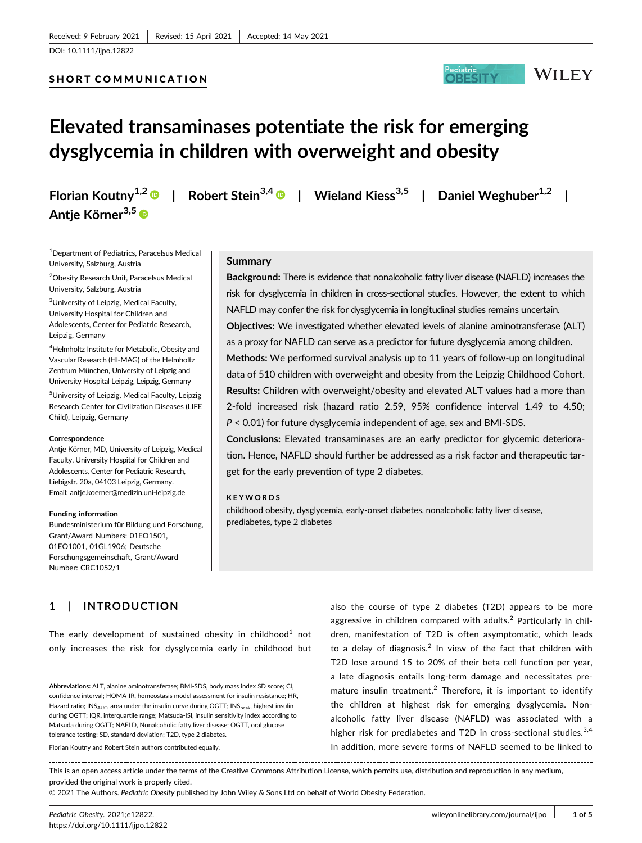## SHORT COMMUNICATION



# Elevated transaminases potentiate the risk for emerging dysglycemia in children with overweight and obesity

Antje Körner<sup>3,5</sup>

Florian Koutny<sup>1,2</sup>  $\bullet$  | Robert Stein<sup>3,4</sup>  $\bullet$  | Wieland Kiess<sup>3,5</sup> | Daniel Weghuber<sup>1,2</sup> |

1 Department of Pediatrics, Paracelsus Medical University, Salzburg, Austria

<sup>2</sup>Obesity Research Unit, Paracelsus Medical University, Salzburg, Austria

<sup>3</sup>University of Leipzig, Medical Faculty, University Hospital for Children and Adolescents, Center for Pediatric Research, Leipzig, Germany

4 Helmholtz Institute for Metabolic, Obesity and Vascular Research (HI-MAG) of the Helmholtz Zentrum München, University of Leipzig and University Hospital Leipzig, Leipzig, Germany

<sup>5</sup>University of Leipzig, Medical Faculty, Leipzig Research Center for Civilization Diseases (LIFE Child), Leipzig, Germany

#### **Correspondence**

Antje Körner, MD, University of Leipzig, Medical Faculty, University Hospital for Children and Adolescents, Center for Pediatric Research, Liebigstr. 20a, 04103 Leipzig, Germany. Email: [antje.koerner@medizin.uni-leipzig.de](mailto:antje.koerner@medizin.uni-leipzig.de)

#### Funding information

Bundesministerium für Bildung und Forschung, Grant/Award Numbers: 01EO1501, 01EO1001, 01GL1906; Deutsche Forschungsgemeinschaft, Grant/Award Number: CRC1052/1

## Summary

Background: There is evidence that nonalcoholic fatty liver disease (NAFLD) increases the risk for dysglycemia in children in cross-sectional studies. However, the extent to which NAFLD may confer the risk for dysglycemia in longitudinal studies remains uncertain.

Objectives: We investigated whether elevated levels of alanine aminotransferase (ALT) as a proxy for NAFLD can serve as a predictor for future dysglycemia among children.

Methods: We performed survival analysis up to 11 years of follow-up on longitudinal data of 510 children with overweight and obesity from the Leipzig Childhood Cohort. Results: Children with overweight/obesity and elevated ALT values had a more than 2-fold increased risk (hazard ratio 2.59, 95% confidence interval 1.49 to 4.50; P < 0.01) for future dysglycemia independent of age, sex and BMI-SDS.

Conclusions: Elevated transaminases are an early predictor for glycemic deterioration. Hence, NAFLD should further be addressed as a risk factor and therapeutic target for the early prevention of type 2 diabetes.

## KEYWORDS

childhood obesity, dysglycemia, early-onset diabetes, nonalcoholic fatty liver disease, prediabetes, type 2 diabetes

# 1 | INTRODUCTION

The early development of sustained obesity in childhood<sup>1</sup> not only increases the risk for dysglycemia early in childhood but

Florian Koutny and Robert Stein authors contributed equally.

also the course of type 2 diabetes (T2D) appears to be more aggressive in children compared with adults.<sup>2</sup> Particularly in children, manifestation of T2D is often asymptomatic, which leads to a delay of diagnosis.<sup>2</sup> In view of the fact that children with T2D lose around 15 to 20% of their beta cell function per year, a late diagnosis entails long-term damage and necessitates premature insulin treatment.<sup>2</sup> Therefore, it is important to identify the children at highest risk for emerging dysglycemia. Nonalcoholic fatty liver disease (NAFLD) was associated with a higher risk for prediabetes and T2D in cross-sectional studies.<sup>3,4</sup> In addition, more severe forms of NAFLD seemed to be linked to

This is an open access article under the terms of the [Creative Commons Attribution](http://creativecommons.org/licenses/by/4.0/) License, which permits use, distribution and reproduction in any medium, provided the original work is properly cited.

© 2021 The Authors. Pediatric Obesity published by John Wiley & Sons Ltd on behalf of World Obesity Federation.

Abbreviations: ALT, alanine aminotransferase; BMI-SDS, body mass index SD score; CI, confidence interval; HOMA-IR, homeostasis model assessment for insulin resistance; HR, Hazard ratio; INS<sub>AUC</sub>, area under the insulin curve during OGTT; INS<sub>peak</sub>, highest insulin during OGTT; IQR, interquartile range; Matsuda-ISI, insulin sensitivity index according to Matsuda during OGTT; NAFLD, Nonalcoholic fatty liver disease; OGTT, oral glucose tolerance testing; SD, standard deviation; T2D, type 2 diabetes.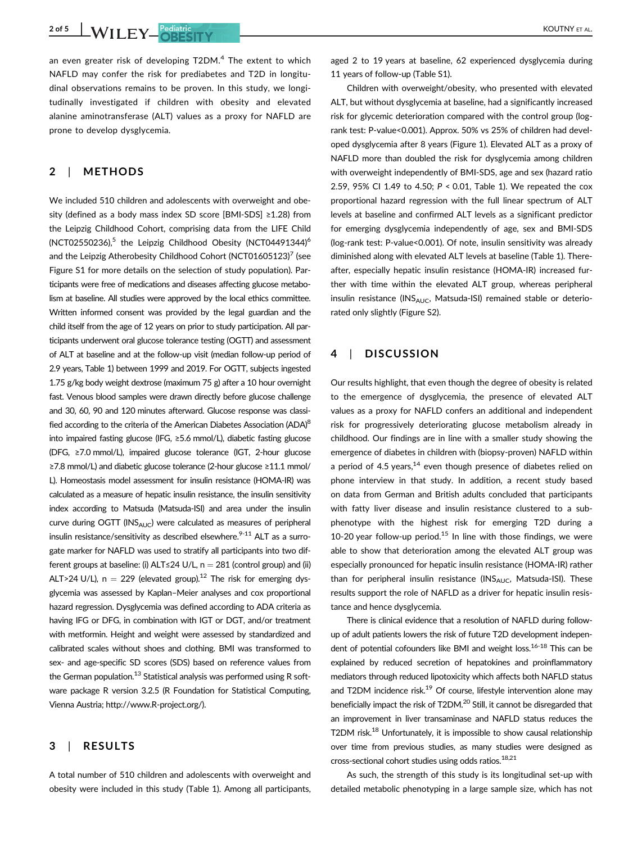2 of 5 WILEY Pediatric Registrict Country of the Country of AL.

an even greater risk of developing  $T2DM<sup>4</sup>$ . The extent to which NAFLD may confer the risk for prediabetes and T2D in longitudinal observations remains to be proven. In this study, we longitudinally investigated if children with obesity and elevated alanine aminotransferase (ALT) values as a proxy for NAFLD are prone to develop dysglycemia.

## 2 | METHODS

We included 510 children and adolescents with overweight and obesity (defined as a body mass index SD score [BMI-SDS] ≥1.28) from the Leipzig Childhood Cohort, comprising data from the LIFE Child  $(NCT02550236)$ ,<sup>5</sup> the Leipzig Childhood Obesity (NCT04491344)<sup>6</sup> and the Leipzig Atherobesity Childhood Cohort (NCT01605123)<sup>7</sup> (see Figure S1 for more details on the selection of study population). Participants were free of medications and diseases affecting glucose metabolism at baseline. All studies were approved by the local ethics committee. Written informed consent was provided by the legal guardian and the child itself from the age of 12 years on prior to study participation. All participants underwent oral glucose tolerance testing (OGTT) and assessment of ALT at baseline and at the follow-up visit (median follow-up period of 2.9 years, Table 1) between 1999 and 2019. For OGTT, subjects ingested 1.75 g/kg body weight dextrose (maximum 75 g) after a 10 hour overnight fast. Venous blood samples were drawn directly before glucose challenge and 30, 60, 90 and 120 minutes afterward. Glucose response was classified according to the criteria of the American Diabetes Association (ADA)<sup>8</sup> into impaired fasting glucose (IFG, ≥5.6 mmol/L), diabetic fasting glucose (DFG, ≥7.0 mmol/L), impaired glucose tolerance (IGT, 2-hour glucose ≥7.8 mmol/L) and diabetic glucose tolerance (2-hour glucose ≥11.1 mmol/ L). Homeostasis model assessment for insulin resistance (HOMA-IR) was calculated as a measure of hepatic insulin resistance, the insulin sensitivity index according to Matsuda (Matsuda-ISI) and area under the insulin curve during  $OGTT$  ( $INS_{AUC}$ ) were calculated as measures of peripheral insulin resistance/sensitivity as described elsewhere.<sup>9-11</sup> ALT as a surrogate marker for NAFLD was used to stratify all participants into two different groups at baseline: (i) ALT≤24 U/L,  $n = 281$  (control group) and (ii) ALT>24 U/L),  $n = 229$  (elevated group).<sup>12</sup> The risk for emerging dysglycemia was assessed by Kaplan–Meier analyses and cox proportional hazard regression. Dysglycemia was defined according to ADA criteria as having IFG or DFG, in combination with IGT or DGT, and/or treatment with metformin. Height and weight were assessed by standardized and calibrated scales without shoes and clothing. BMI was transformed to sex- and age-specific SD scores (SDS) based on reference values from the German population.<sup>13</sup> Statistical analysis was performed using R software package R version 3.2.5 (R Foundation for Statistical Computing, Vienna Austria; [http://www.R-project.org/](http://www.r-project.org/)).

## 3 | RESULTS

A total number of 510 children and adolescents with overweight and obesity were included in this study (Table 1). Among all participants, aged 2 to 19 years at baseline, 62 experienced dysglycemia during 11 years of follow-up (Table S1).

Children with overweight/obesity, who presented with elevated ALT, but without dysglycemia at baseline, had a significantly increased risk for glycemic deterioration compared with the control group (logrank test: P-value<0.001). Approx. 50% vs 25% of children had developed dysglycemia after 8 years (Figure 1). Elevated ALT as a proxy of NAFLD more than doubled the risk for dysglycemia among children with overweight independently of BMI-SDS, age and sex (hazard ratio 2.59, 95% CI 1.49 to 4.50; P < 0.01, Table 1). We repeated the cox proportional hazard regression with the full linear spectrum of ALT levels at baseline and confirmed ALT levels as a significant predictor for emerging dysglycemia independently of age, sex and BMI-SDS (log-rank test: P-value<0.001). Of note, insulin sensitivity was already diminished along with elevated ALT levels at baseline (Table 1). Thereafter, especially hepatic insulin resistance (HOMA-IR) increased further with time within the elevated ALT group, whereas peripheral insulin resistance ( $INS_{AUC}$ , Matsuda-ISI) remained stable or deteriorated only slightly (Figure S2).

## 4 | DISCUSSION

Our results highlight, that even though the degree of obesity is related to the emergence of dysglycemia, the presence of elevated ALT values as a proxy for NAFLD confers an additional and independent risk for progressively deteriorating glucose metabolism already in childhood. Our findings are in line with a smaller study showing the emergence of diabetes in children with (biopsy-proven) NAFLD within a period of 4.5 years,<sup>14</sup> even though presence of diabetes relied on phone interview in that study. In addition, a recent study based on data from German and British adults concluded that participants with fatty liver disease and insulin resistance clustered to a subphenotype with the highest risk for emerging T2D during a 10-20 year follow-up period.<sup>15</sup> In line with those findings, we were able to show that deterioration among the elevated ALT group was especially pronounced for hepatic insulin resistance (HOMA-IR) rather than for peripheral insulin resistance ( $\text{INS}_{\text{AUC}}$ , Matsuda-ISI). These results support the role of NAFLD as a driver for hepatic insulin resistance and hence dysglycemia.

There is clinical evidence that a resolution of NAFLD during followup of adult patients lowers the risk of future T2D development independent of potential cofounders like BMI and weight loss.<sup>16-18</sup> This can be explained by reduced secretion of hepatokines and proinflammatory mediators through reduced lipotoxicity which affects both NAFLD status and T2DM incidence risk. $19$  Of course, lifestyle intervention alone may beneficially impact the risk of T2DM.<sup>20</sup> Still, it cannot be disregarded that an improvement in liver transaminase and NAFLD status reduces the T2DM risk.<sup>18</sup> Unfortunately, it is impossible to show causal relationship over time from previous studies, as many studies were designed as cross-sectional cohort studies using odds ratios. $^{18,21}$ 

As such, the strength of this study is its longitudinal set-up with detailed metabolic phenotyping in a large sample size, which has not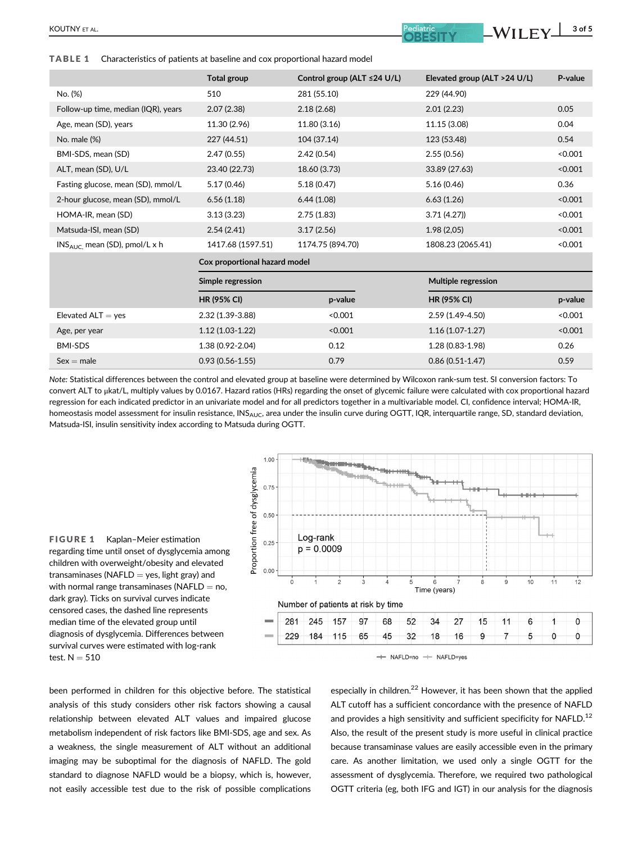TABLE 1 Characteristics of patients at baseline and cox proportional hazard model

|                                     | Total group                   | Control group (ALT ≤24 U/L) | Elevated group (ALT > 24 U/L) | P-value |
|-------------------------------------|-------------------------------|-----------------------------|-------------------------------|---------|
| No. (%)                             | 510                           | 281 (55.10)                 | 229 (44.90)                   |         |
| Follow-up time, median (IQR), years | 2.07(2.38)                    | 2.18(2.68)                  | 2.01(2.23)                    | 0.05    |
| Age, mean (SD), years               | 11.30 (2.96)                  | 11.80 (3.16)                | 11.15 (3.08)                  | 0.04    |
| No. male (%)                        | 227 (44.51)                   | 104 (37.14)                 | 123 (53.48)                   | 0.54    |
| BMI-SDS, mean (SD)                  | 2.47(0.55)                    | 2.42(0.54)                  | 2.55(0.56)                    | < 0.001 |
| ALT, mean (SD), U/L                 | 23.40 (22.73)                 | 18.60 (3.73)                | 33.89 (27.63)                 | < 0.001 |
| Fasting glucose, mean (SD), mmol/L  | 5.17(0.46)                    | 5.18 (0.47)                 | 5.16(0.46)                    | 0.36    |
| 2-hour glucose, mean (SD), mmol/L   | 6.56(1.18)                    | 6.44(1.08)                  | 6.63(1.26)                    | < 0.001 |
| HOMA-IR, mean (SD)                  | 3.13(3.23)                    | 2.75(1.83)                  | 3.71(4.27)                    | < 0.001 |
| Matsuda-ISI, mean (SD)              | 2.54(2.41)                    | 3.17(2.56)                  | 1.98(2,05)                    | < 0.001 |
| $INS_{AUC}$ mean (SD), pmol/L x h   | 1417.68 (1597.51)             | 1174.75 (894.70)            | 1808.23 (2065.41)             | < 0.001 |
|                                     | Cox proportional hazard model |                             |                               |         |
|                                     | Simple regression             |                             | Multiple regression           |         |
|                                     | <b>HR (95% CI)</b>            | p-value                     | <b>HR (95% CI)</b>            | p-value |
| Elevated $ALT = yes$                | 2.32 (1.39-3.88)              | < 0.001                     | 2.59 (1.49-4.50)              | < 0.001 |
| Age, per year                       | $1.12(1.03-1.22)$             | < 0.001                     | $1.16(1.07-1.27)$             | < 0.001 |
| <b>BMI-SDS</b>                      | 1.38 (0.92-2.04)              | 0.12                        | 1.28 (0.83-1.98)              | 0.26    |
| $Sex = male$                        | $0.93(0.56 - 1.55)$           | 0.79                        | $0.86(0.51 - 1.47)$           | 0.59    |

Note: Statistical differences between the control and elevated group at baseline were determined by Wilcoxon rank-sum test. SI conversion factors: To convert ALT to μkat/L, multiply values by 0.0167. Hazard ratios (HRs) regarding the onset of glycemic failure were calculated with cox proportional hazard regression for each indicated predictor in an univariate model and for all predictors together in a multivariable model. CI, confidence interval; HOMA-IR, homeostasis model assessment for insulin resistance,  $\text{INS}_{\text{AllC}}$ , area under the insulin curve during OGTT, IQR, interquartile range, SD, standard deviation, Matsuda-ISI, insulin sensitivity index according to Matsuda during OGTT.





been performed in children for this objective before. The statistical analysis of this study considers other risk factors showing a causal relationship between elevated ALT values and impaired glucose metabolism independent of risk factors like BMI-SDS, age and sex. As a weakness, the single measurement of ALT without an additional imaging may be suboptimal for the diagnosis of NAFLD. The gold standard to diagnose NAFLD would be a biopsy, which is, however, not easily accessible test due to the risk of possible complications

especially in children.<sup>22</sup> However, it has been shown that the applied ALT cutoff has a sufficient concordance with the presence of NAFLD and provides a high sensitivity and sufficient specificity for NAFLD.<sup>12</sup> Also, the result of the present study is more useful in clinical practice because transaminase values are easily accessible even in the primary care. As another limitation, we used only a single OGTT for the assessment of dysglycemia. Therefore, we required two pathological OGTT criteria (eg, both IFG and IGT) in our analysis for the diagnosis

 $\overline{\text{Eddatic}}$   $\text{WII FV}$  3 of 5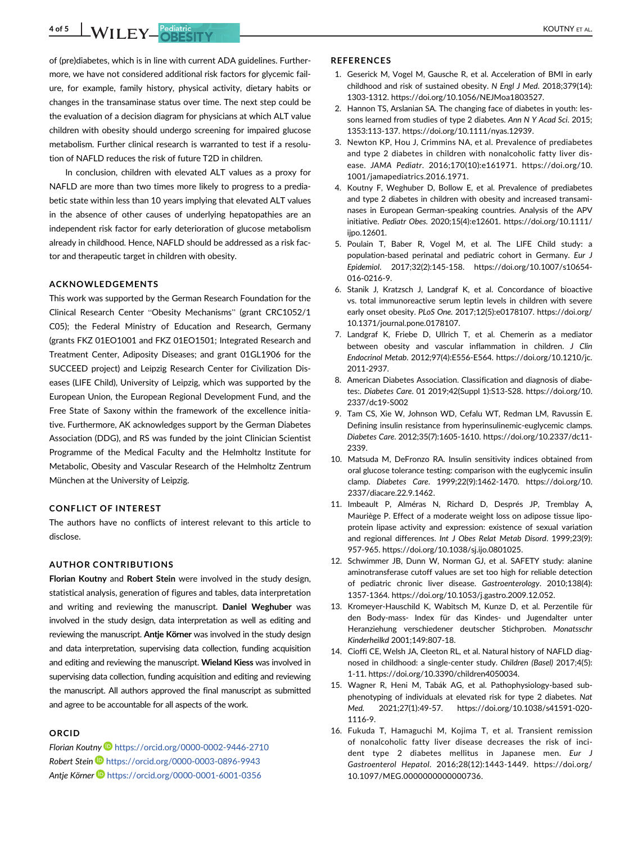**4 of 5 WILEY Pediatric KOUTNY ET AL.** 

of (pre)diabetes, which is in line with current ADA guidelines. Furthermore, we have not considered additional risk factors for glycemic failure, for example, family history, physical activity, dietary habits or changes in the transaminase status over time. The next step could be the evaluation of a decision diagram for physicians at which ALT value children with obesity should undergo screening for impaired glucose metabolism. Further clinical research is warranted to test if a resolution of NAFLD reduces the risk of future T2D in children.

In conclusion, children with elevated ALT values as a proxy for NAFLD are more than two times more likely to progress to a prediabetic state within less than 10 years implying that elevated ALT values in the absence of other causes of underlying hepatopathies are an independent risk factor for early deterioration of glucose metabolism already in childhood. Hence, NAFLD should be addressed as a risk factor and therapeutic target in children with obesity.

## ACKNOWLEDGEMENTS

This work was supported by the German Research Foundation for the Clinical Research Center "Obesity Mechanisms" (grant CRC1052/1 C05); the Federal Ministry of Education and Research, Germany (grants FKZ 01EO1001 and FKZ 01EO1501; Integrated Research and Treatment Center, Adiposity Diseases; and grant 01GL1906 for the SUCCEED project) and Leipzig Research Center for Civilization Diseases (LIFE Child), University of Leipzig, which was supported by the European Union, the European Regional Development Fund, and the Free State of Saxony within the framework of the excellence initiative. Furthermore, AK acknowledges support by the German Diabetes Association (DDG), and RS was funded by the joint Clinician Scientist Programme of the Medical Faculty and the Helmholtz Institute for Metabolic, Obesity and Vascular Research of the Helmholtz Zentrum München at the University of Leipzig.

## CONFLICT OF INTEREST

The authors have no conflicts of interest relevant to this article to disclose.

## AUTHOR CONTRIBUTIONS

Florian Koutny and Robert Stein were involved in the study design, statistical analysis, generation of figures and tables, data interpretation and writing and reviewing the manuscript. Daniel Weghuber was involved in the study design, data interpretation as well as editing and reviewing the manuscript. Antie Körner was involved in the study design and data interpretation, supervising data collection, funding acquisition and editing and reviewing the manuscript. Wieland Kiess was involved in supervising data collection, funding acquisition and editing and reviewing the manuscript. All authors approved the final manuscript as submitted and agree to be accountable for all aspects of the work.

## **ORCID**

Florian Koutny D<https://orcid.org/0000-0002-9446-2710> Robert Stein <https://orcid.org/0000-0003-0896-9943> Antje Körner D<https://orcid.org/0000-0001-6001-0356>

#### **REFERENCES**

- 1. Geserick M, Vogel M, Gausche R, et al. Acceleration of BMI in early childhood and risk of sustained obesity. N Engl J Med. 2018;379(14): 1303-1312.<https://doi.org/10.1056/NEJMoa1803527>.
- 2. Hannon TS, Arslanian SA. The changing face of diabetes in youth: lessons learned from studies of type 2 diabetes. Ann N Y Acad Sci. 2015; 1353:113-137. [https://doi.org/10.1111/nyas.12939.](https://doi.org/10.1111/nyas.12939)
- 3. Newton KP, Hou J, Crimmins NA, et al. Prevalence of prediabetes and type 2 diabetes in children with nonalcoholic fatty liver disease. JAMA Pediatr. 2016;170(10):e161971. [https://doi.org/10.](https://doi.org/10.1001/jamapediatrics.2016.1971) [1001/jamapediatrics.2016.1971](https://doi.org/10.1001/jamapediatrics.2016.1971).
- 4. Koutny F, Weghuber D, Bollow E, et al. Prevalence of prediabetes and type 2 diabetes in children with obesity and increased transaminases in European German-speaking countries. Analysis of the APV initiative. Pediatr Obes. 2020;15(4):e12601. [https://doi.org/10.1111/](https://doi.org/10.1111/ijpo.12601) [ijpo.12601](https://doi.org/10.1111/ijpo.12601).
- 5. Poulain T, Baber R, Vogel M, et al. The LIFE Child study: a population-based perinatal and pediatric cohort in Germany. Eur J Epidemiol. 2017;32(2):145-158. [https://doi.org/10.1007/s10654-](https://doi.org/10.1007/s10654-016-0216-9) [016-0216-9](https://doi.org/10.1007/s10654-016-0216-9).
- 6. Stanik J, Kratzsch J, Landgraf K, et al. Concordance of bioactive vs. total immunoreactive serum leptin levels in children with severe early onset obesity. PLoS One. 2017;12(5):e0178107. [https://doi.org/](https://doi.org/10.1371/journal.pone.0178107) [10.1371/journal.pone.0178107](https://doi.org/10.1371/journal.pone.0178107).
- 7. Landgraf K, Friebe D, Ullrich T, et al. Chemerin as a mediator between obesity and vascular inflammation in children. J Clin Endocrinol Metab. 2012;97(4):E556-E564. [https://doi.org/10.1210/jc.](https://doi.org/10.1210/jc.2011-2937) [2011-2937](https://doi.org/10.1210/jc.2011-2937).
- 8. American Diabetes Association. Classification and diagnosis of diabetes:. Diabetes Care. 01 2019;42(Suppl 1):S13-S28. [https://doi.org/10.](https://doi.org/10.2337/dc19-S002) [2337/dc19-S002](https://doi.org/10.2337/dc19-S002)
- 9. Tam CS, Xie W, Johnson WD, Cefalu WT, Redman LM, Ravussin E. Defining insulin resistance from hyperinsulinemic-euglycemic clamps. Diabetes Care. 2012;35(7):1605-1610. [https://doi.org/10.2337/dc11-](https://doi.org/10.2337/dc11-2339) [2339](https://doi.org/10.2337/dc11-2339).
- 10. Matsuda M, DeFronzo RA. Insulin sensitivity indices obtained from oral glucose tolerance testing: comparison with the euglycemic insulin clamp. Diabetes Care. 1999;22(9):1462-1470. [https://doi.org/10.](https://doi.org/10.2337/diacare.22.9.1462) [2337/diacare.22.9.1462.](https://doi.org/10.2337/diacare.22.9.1462)
- 11. Imbeault P, Alméras N, Richard D, Després JP, Tremblay A, Mauriège P. Effect of a moderate weight loss on adipose tissue lipoprotein lipase activity and expression: existence of sexual variation and regional differences. Int J Obes Relat Metab Disord. 1999;23(9): 957-965. [https://doi.org/10.1038/sj.ijo.0801025.](https://doi.org/10.1038/sj.ijo.0801025)
- 12. Schwimmer JB, Dunn W, Norman GJ, et al. SAFETY study: alanine aminotransferase cutoff values are set too high for reliable detection of pediatric chronic liver disease. Gastroenterology. 2010;138(4): 1357-1364.<https://doi.org/10.1053/j.gastro.2009.12.052>.
- 13. Kromeyer-Hauschild K, Wabitsch M, Kunze D, et al. Perzentile für den Body-mass- Index für das Kindes- und Jugendalter unter Heranziehung verschiedener deutscher Stichproben. Monatsschr Kinderheilkd 2001;149:807-18.
- 14. Cioffi CE, Welsh JA, Cleeton RL, et al. Natural history of NAFLD diagnosed in childhood: a single-center study. Children (Basel) 2017;4(5): 1-11.<https://doi.org/10.3390/children4050034>.
- 15. Wagner R, Heni M, Tabák AG, et al. Pathophysiology-based subphenotyping of individuals at elevated risk for type 2 diabetes. Nat Med. 2021;27(1):49-57. [https://doi.org/10.1038/s41591-020-](https://doi.org/10.1038/s41591-020-1116-9) [1116-9.](https://doi.org/10.1038/s41591-020-1116-9)
- 16. Fukuda T, Hamaguchi M, Kojima T, et al. Transient remission of nonalcoholic fatty liver disease decreases the risk of incident type 2 diabetes mellitus in Japanese men. Eur J Gastroenterol Hepatol. 2016;28(12):1443-1449. [https://doi.org/](https://doi.org/10.1097/MEG.0000000000000736) [10.1097/MEG.0000000000000736](https://doi.org/10.1097/MEG.0000000000000736).